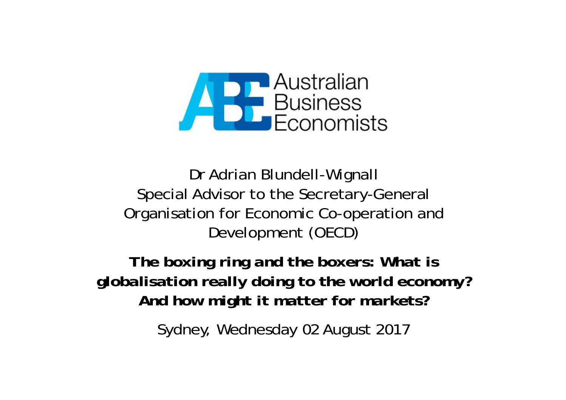

Dr Adrian Blundell-Wignall Special Advisor to the Secretary-General Organisation for Economic Co-operation and Development (OECD)

*The boxing ring and the boxers: What is globalisation really doing to the world economy? And how might it matter for markets?*

Sydney, Wednesday 02 August 2017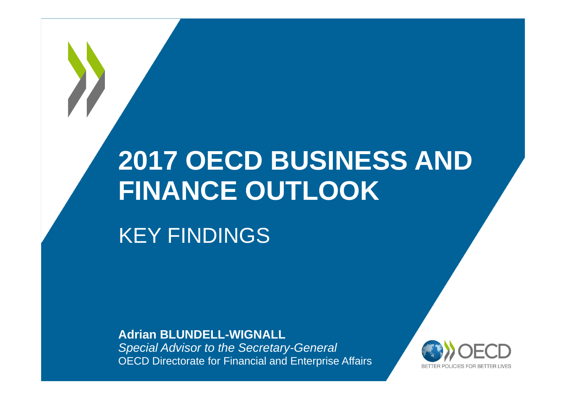# **2017 OECD BUSINESS AND FINANCE OUTLOOK**

KEY FINDINGS

**Adrian BLUNDELL-WIGNALL**

*Special Advisor to the Secretary-General* OECD Directorate for Financial and Enterprise Affairs

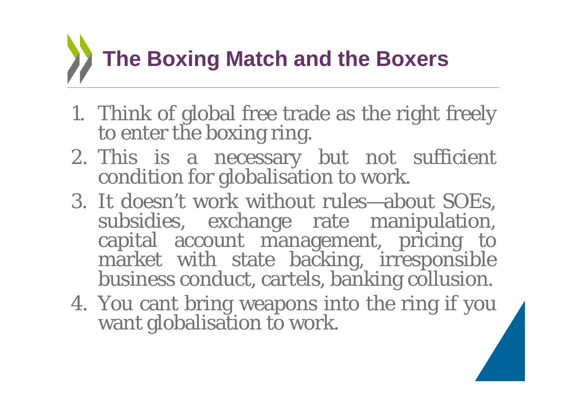# **The Boxing Match and the Boxers**

- 1. Think of global free trade as the right freely to enter the boxing ring.
- 2. This is <sup>a</sup> necessary but not sufficient condition for globalisation to work.
- 3. It doesn't work without rules—about SOEs, subsidies, exchange rate manipulation,<br>capital account management, pricing to market with state backing, irresponsible<br>business conduct, cartels, banking collusion.
- 4. You cant bring weapons into the ring if you want globalisation to work.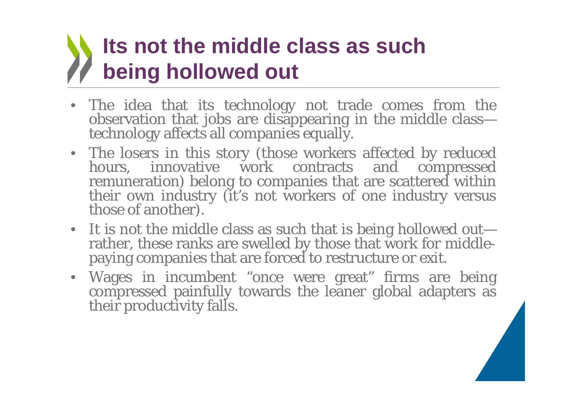# **Its not the middle class as such being hollowed out**

- The idea that its technology not trade comes from the observation that jobs are disappearing in the middle class—<br>technology affects all companies equally.
- The losers in this story (those workers affected by reduced hours, innovative work contracts and compressed remuneration) belong to companies that are scattered within their own industry (it's not workers of one industry
- It is not the middle class as such that is being hollowed out— rather, these ranks are swelled by those that work for middle- paying companies that are forced to restructure or exit.
- Wages in incumbent "once were great" firms are being compressed painfully towards the leaner global adapters as their productivity falls.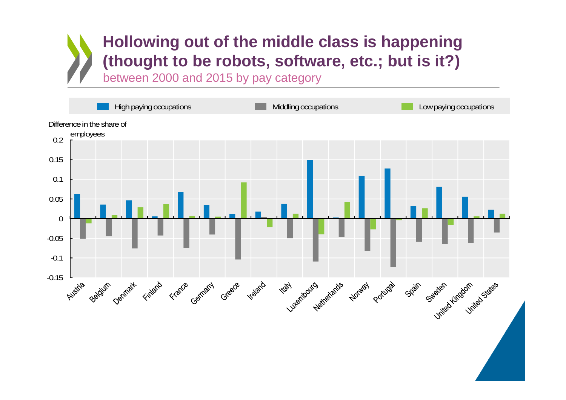#### **Hollowing out of the middle class is happening (thought to be robots, software, etc.; but is it?)**

between 2000 and 2015 by pay category

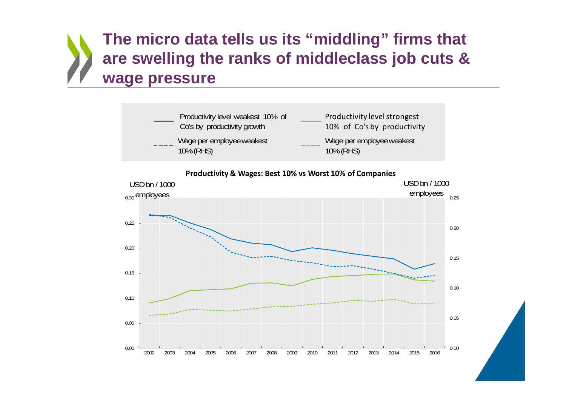#### **The micro data tells us its "middling" firms that are swelling the ranks of middleclass job cuts & wage pressure**



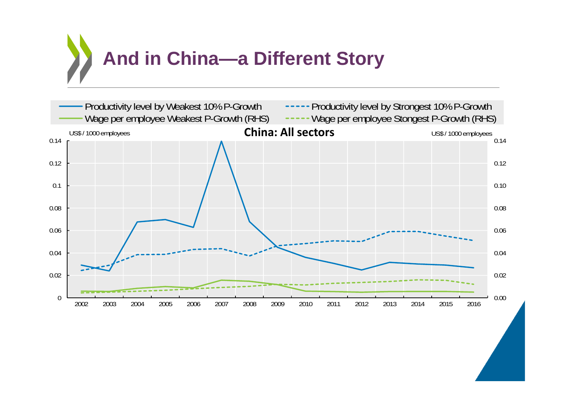

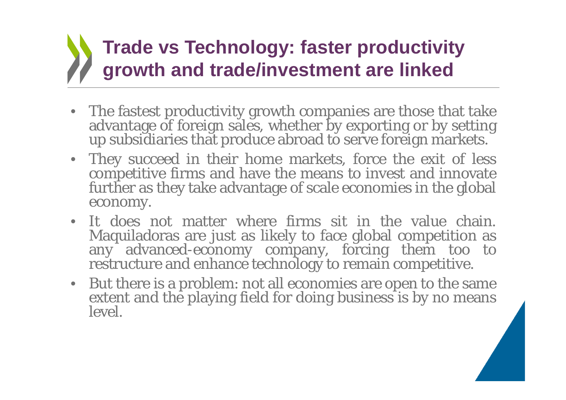# **Trade vs Technology: faster productivity growth and trade/investment are linked**

- The fastest productivity growth companies are those that take The fastest productivity growth companies are those that take advantage of foreign sales, whether by exporting or by setting up subsidiaries that produce abroad to serve foreign markets.
- They succeed in their home markets, force the exit of less competitive firms and have the means to invest and innovate further as they take advantage of scale economies in the global economy.
- It does not matter where firms sit in the value chain. Maquiladoras are just as likely to face global competition as any advanced-economy company, forcing them too to restructure and enhance technology to remain competitive.
- But there is <sup>a</sup> problem: not all economies are open to the same extent and the <sup>p</sup>laying field for doing business is by no means level.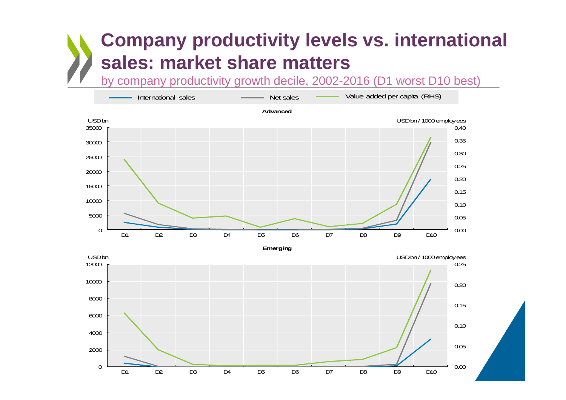## **Company productivity levels vs. international sales: market share matters**

by company productivity growth decile, 2002-2016 (D1 worst D10 best)

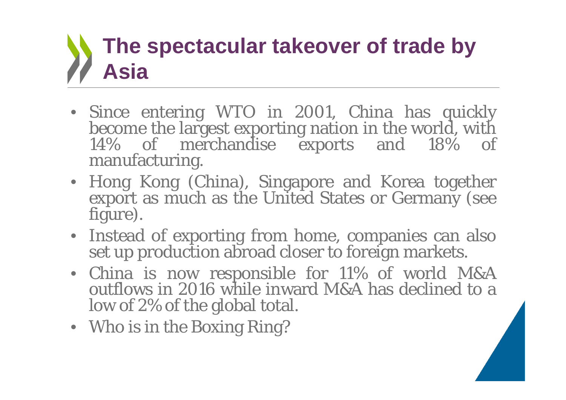# **The spectacular takeover of trade by Asia**

- · Since entering WTO in 2001, China has quickly become the largest exporting nation in the world, with 14% of merchandise exports and 18% of manufacturing.
- Hong Kong (China), Singapore and Korea together export as much as the United States or Germany (see figure).
- Instead of exporting from home, companies can also set up production abroad closer to foreign markets.
- China is now responsible for 11% of world M&A<br>outflows in 2016 while inward M&A has declined to a outflows in 2016 while inward M&A has declined to a low of 2% of the global total.
- Who is in the Boxing Ring?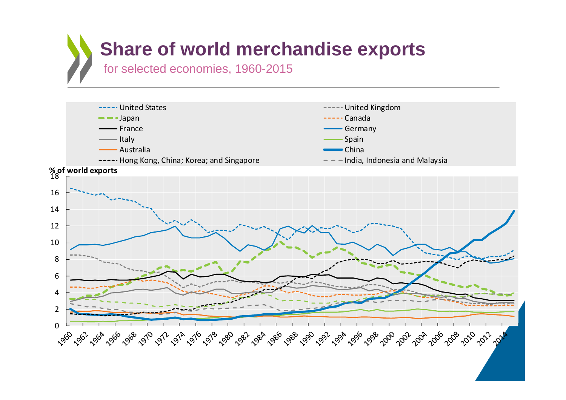### **Share of world merchandise exports** for selected economies, 1960-2015

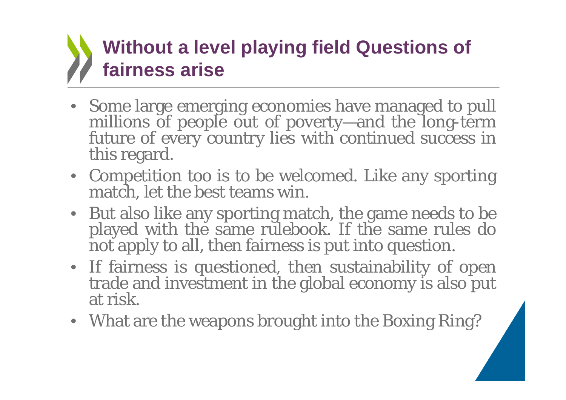# **Without a level playing field Questions of fairness arise**

- Some large emerging economies have managed to pull millions of people out of poverty—and the long-term future of every country lies with continued success in this regard.
- Competition too is to be welcomed. Like any sporting match, let the best teams win.
- But also like any sporting match, the game needs to be played with the same rulebook. If the same rules do not apply to all, then fairness is put into question.
- If fairness is questioned, then sustainability of open trade and investment in the global economy is also put at risk.
- What are the weapons brought into the Boxing Ring?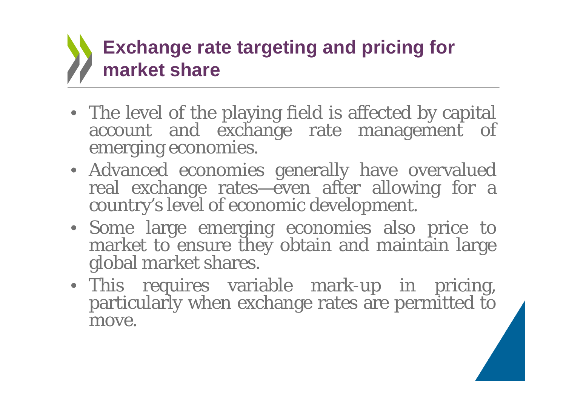# **Exchange rate targeting and pricing for market share**

- The level of the playing field is affected by capital account and exchange rate management of emerging economies.
- Advanced economies generally have overvalued real exchange rates—even after allowing for <sup>a</sup> country's level of economic development.
- Some large emerging economies also price to market to ensure they obtain and maintain large global market shares.
- This requires variable mark-up in pricing, particularly when exchange rates are permitted to move.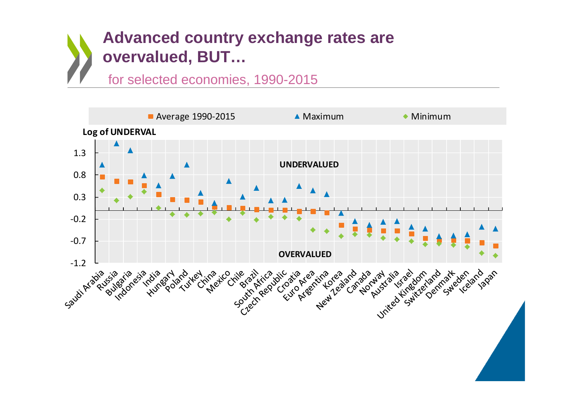#### **Advanced country exchange rates are overvalued, BUT…**

#### for selected economies, 1990-2015

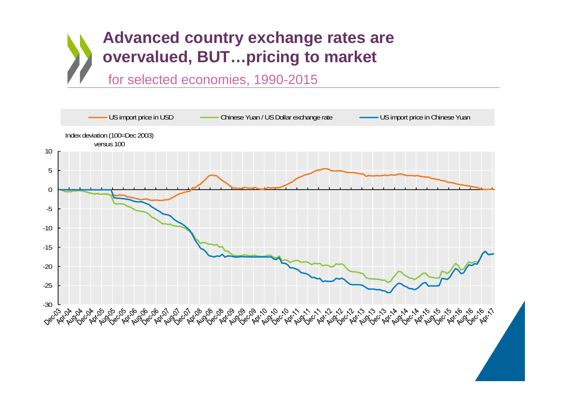#### **Advanced country exchange rates are overvalued, BUT…pricing to market**

for selected economies, 1990-2015

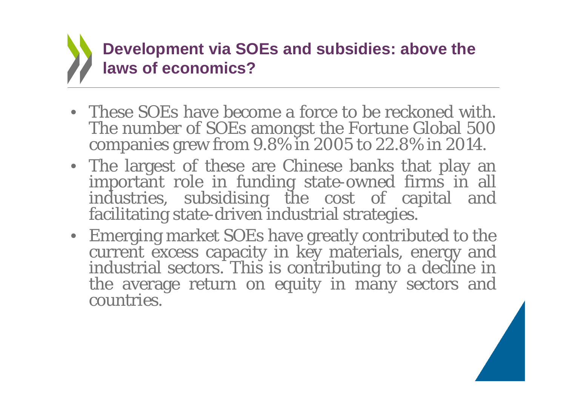

- These SOEs have become <sup>a</sup> force to be reckoned with. The number of SOEs amongs<sup>t</sup> the Fortune Global 500 companies grew from 9.8% in 2005 to 22.8% in 2014.
- The largest of these are Chinese banks that play an important role in funding state-owned firms in all industries, subsidising the cost of capital and facilitating state-driven industrial strategies.
- Emerging market SOEs have greatly contributed to the current excess capacity in key materials, energy and industrial sectors. This is contributing to <sup>a</sup> decline in the average return on equity in many sectors and countries.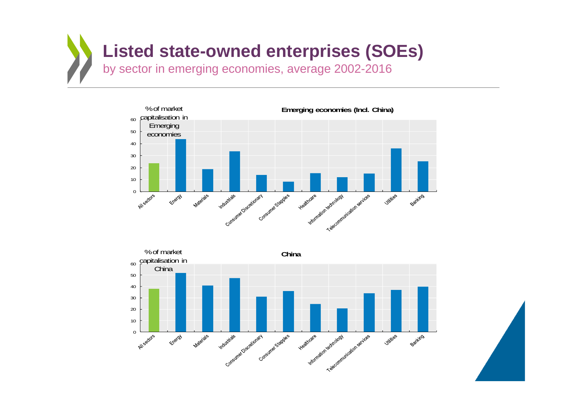





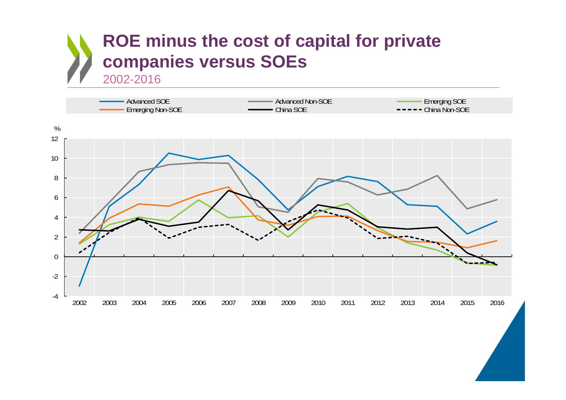#### **ROE minus the cost of capital for private companies versus SOEs** 2002-2016

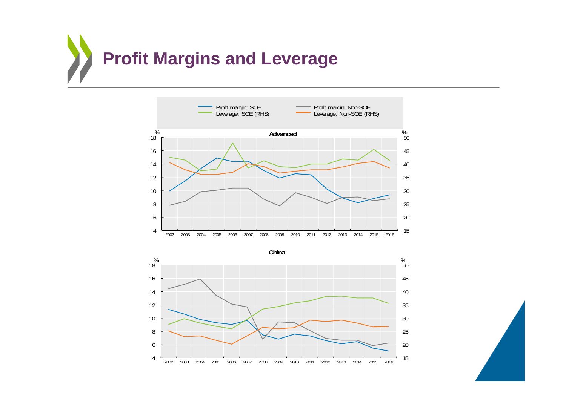





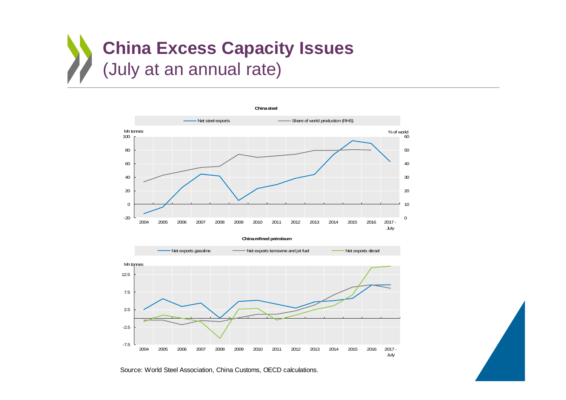



Source: World Steel Association, China Customs, OECD calculations.

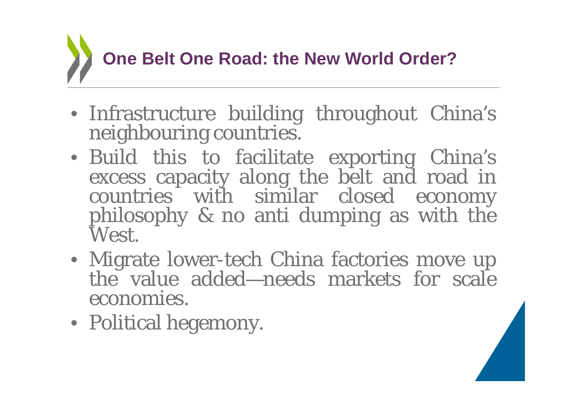# **One Belt One Road: the New World Order?**

- Infrastructure building throughout China's neighbouring countries.
- Build this to facilitate exporting China's excess capacity along the belt and road in countries with similar closed economy <sup>p</sup>hilosophy & no anti dumping as with the West.
- Migrate lower-tech China factories move up the value added—needs markets for scalethe value added—needs markets for scale economies.
- Political hegemony.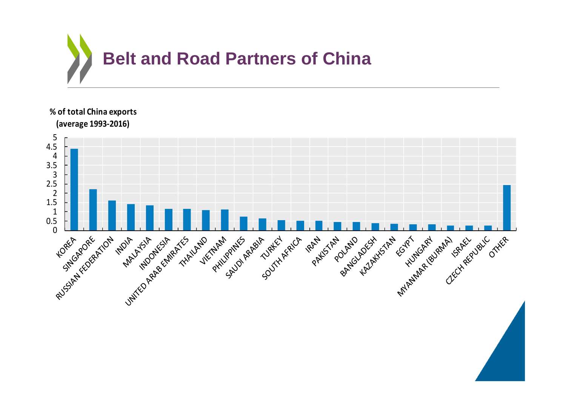

**% of total China exports (average 1993‐2016)**5 4.5 4 3.5 3 2.5 2 1.5 MAKASHARA (SIRAHARA) SRAEV OTHER<br>ALAKASHARA (SIRAHARARA) SRAEV OTHER<br>ALAKASHARARA (SURAHARARARA) OTHER 1 AttSTART COMPANYSTANT 0.5 ARABITY ALEXANDER Unité de Président Times 0 PHILIPPIN RP FALLOUSE SOL PAKISTAN **MAIL AND ONLY RATIONAL WATER UAND PHILIPP A RAME WANT**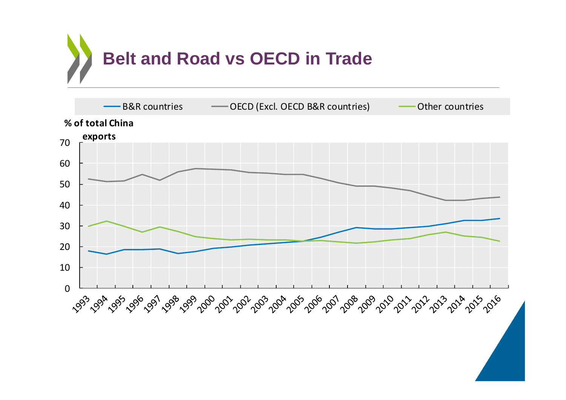

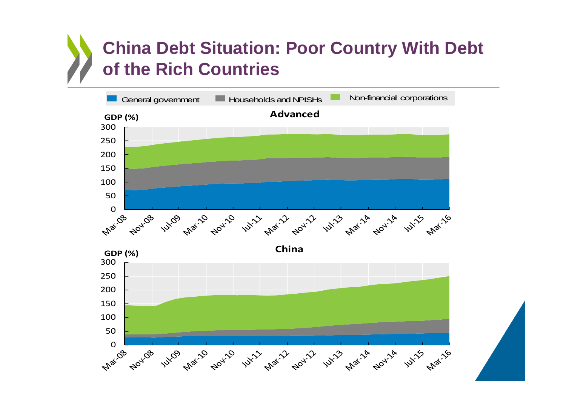## **China Debt Situation: Poor Country With Debt of the Rich Countries**

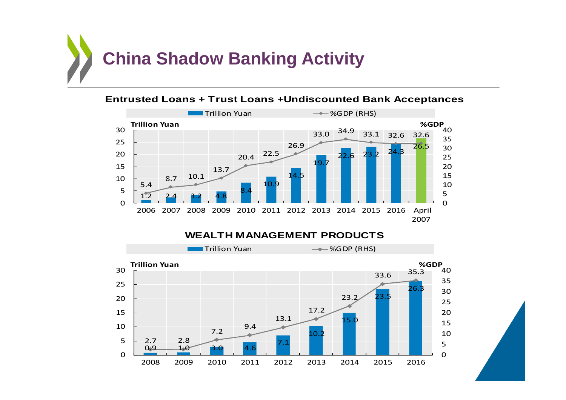



#### **Entrusted Loans + Trust Loans +Undiscounted Bank Acceptances**



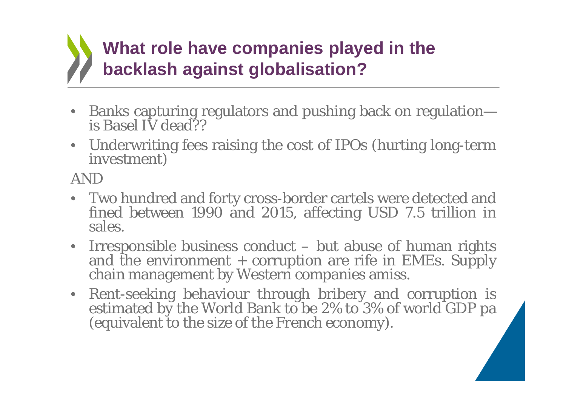# **What role have companies played in the backlash against globalisation?**

- •Banks capturing regulators and pushing back on regulation— is Basel IV dead??
- Underwriting fees raising the cost of IPOs (hurting long-term investment)

AND

- Two hundred and forty cross-border cartels were detected and fined between 1990 and 2015, affecting USD 7.5 trillion in sales.
- Irresponsible business conduct but abuse of human rights and the environment + corruption are rife in EMEs. Supply chain management by Western companies amiss.
- Rent-seeking behaviour through bribery and corruption is estimated by the World Bank to be 2% to 3% of world GDP pa (equivalent to the size of the French economy).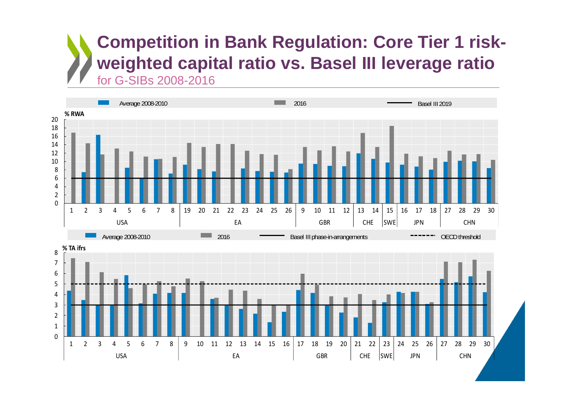#### **Competition in Bank Regulation: Core Tier 1 riskweighted capital ratio vs. Basel III leverage ratio**  for G-SIBs 2008-2016

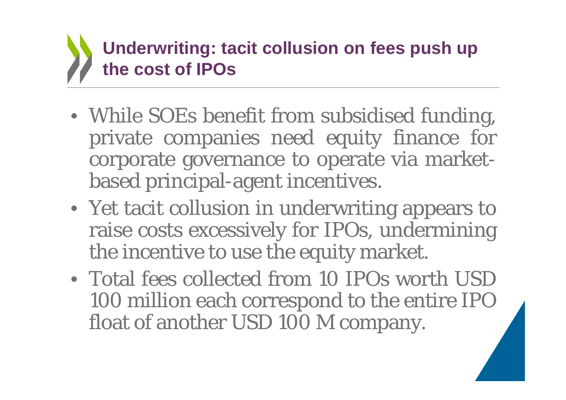# **Underwriting: tacit collusion on fees push up the cost of IPOs**

- While SOEs benefit from subsidised funding, private companies need equity finance for corporate governance to operate via marketbased principal-agent incentives.
- Yet tacit collusion in underwriting appears to raise costs excessively for IPOs, undermining the incentive to use the equity market.
- Total fees collected from 10 IPOs worth USD 100 million each correspond to the entire IPO float of another USD 100 M company.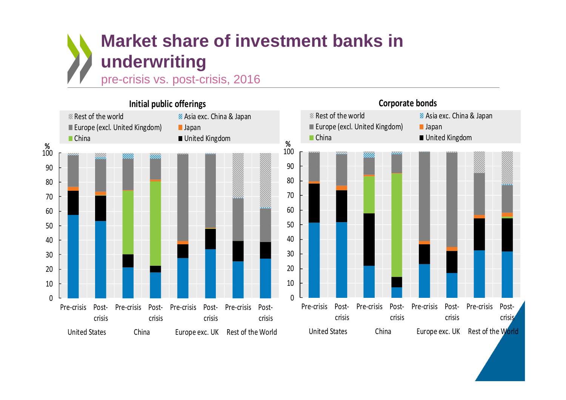#### **Market share of investment banks in underwriting**

pre-crisis vs. post-crisis, 2016

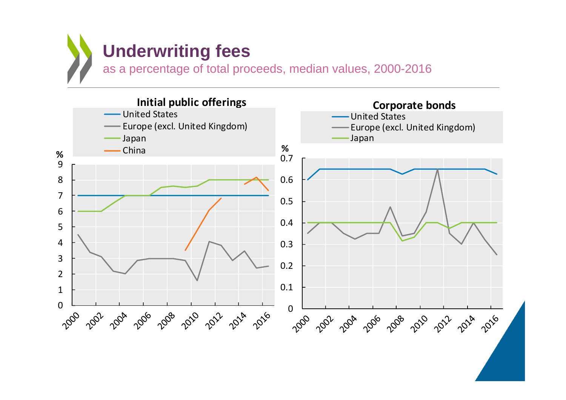

as a percentage of total proceeds, median values, 2000-2016

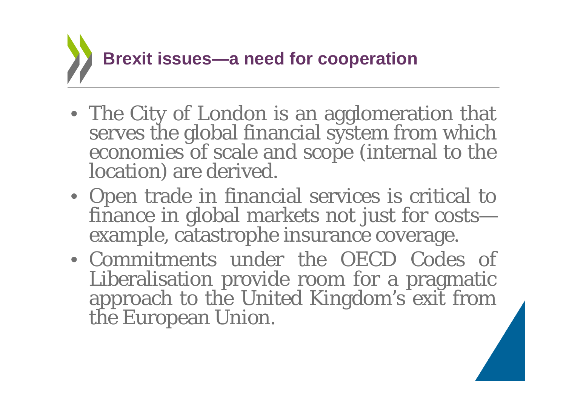

- The City of London is an agglomeration that serves the global financial system from which economies of scale and scope (internal to the location) are derived.
- Open trade in financial services is critical to finance in global markets not just for costs example, catastrophe insurance coverage.
- Commitments under the OECD Codes of Liberalisation provide room for <sup>a</sup> pragmatic approach to the United Kingdom's exit from the European Union.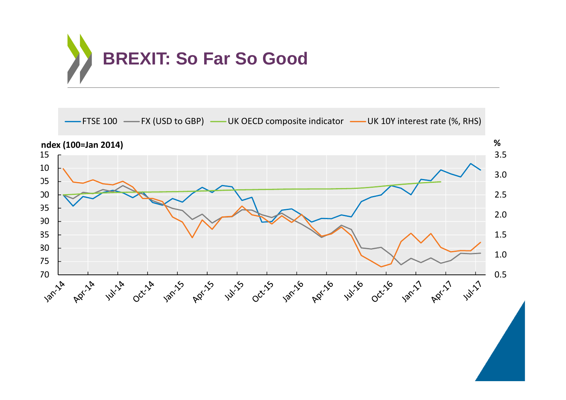

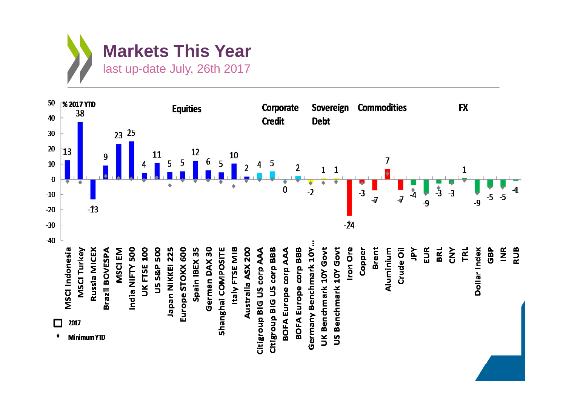

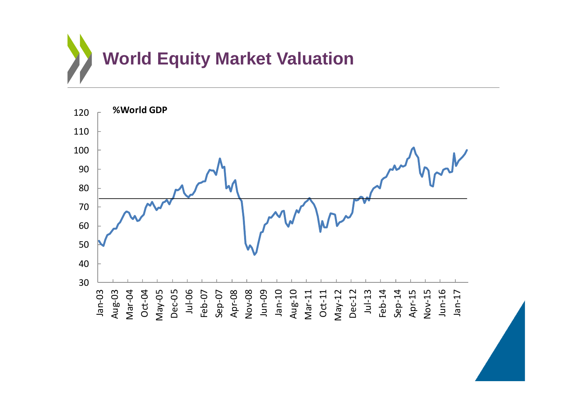

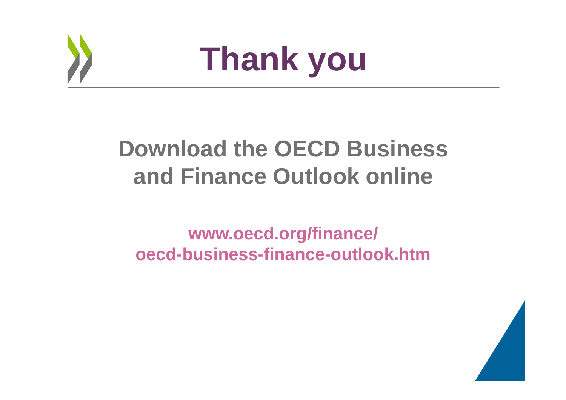

# **Thank you**

# **Download the OECD Business and Finance Outlook online**

#### **www.oecd.org/finance/ oecd-business-finance-outlook.htm**